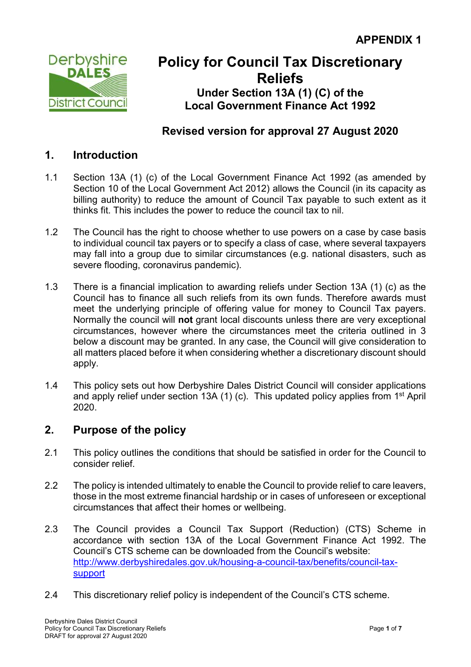

# Policy for Council Tax Discretionary Reliefs Under Section 13A (1) (C) of the Local Government Finance Act 1992

# Revised version for approval 27 August 2020

### 1. Introduction

- 1.1 Section 13A (1) (c) of the Local Government Finance Act 1992 (as amended by Section 10 of the Local Government Act 2012) allows the Council (in its capacity as billing authority) to reduce the amount of Council Tax payable to such extent as it thinks fit. This includes the power to reduce the council tax to nil.
- 1.2 The Council has the right to choose whether to use powers on a case by case basis to individual council tax payers or to specify a class of case, where several taxpayers may fall into a group due to similar circumstances (e.g. national disasters, such as severe flooding, coronavirus pandemic).
- 1.3 There is a financial implication to awarding reliefs under Section 13A (1) (c) as the Council has to finance all such reliefs from its own funds. Therefore awards must meet the underlying principle of offering value for money to Council Tax payers. Normally the council will not grant local discounts unless there are very exceptional circumstances, however where the circumstances meet the criteria outlined in 3 below a discount may be granted. In any case, the Council will give consideration to all matters placed before it when considering whether a discretionary discount should apply.
- 1.4 This policy sets out how Derbyshire Dales District Council will consider applications and apply relief under section 13A  $(1)$  (c). This updated policy applies from 1<sup>st</sup> April 2020.

# 2. Purpose of the policy

- 2.1 This policy outlines the conditions that should be satisfied in order for the Council to consider relief.
- 2.2 The policy is intended ultimately to enable the Council to provide relief to care leavers, those in the most extreme financial hardship or in cases of unforeseen or exceptional circumstances that affect their homes or wellbeing.
- 2.3 The Council provides a Council Tax Support (Reduction) (CTS) Scheme in accordance with section 13A of the Local Government Finance Act 1992. The Council's CTS scheme can be downloaded from the Council's website: http://www.derbyshiredales.gov.uk/housing-a-council-tax/benefits/council-taxsupport
- 2.4 This discretionary relief policy is independent of the Council's CTS scheme.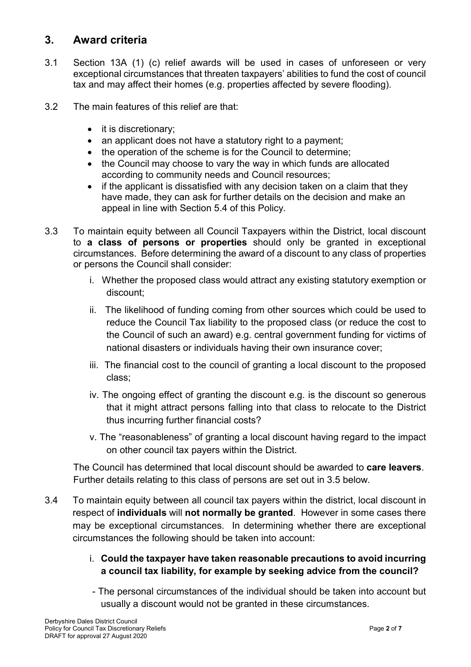## 3. Award criteria

- 3.1 Section 13A (1) (c) relief awards will be used in cases of unforeseen or very exceptional circumstances that threaten taxpayers' abilities to fund the cost of council tax and may affect their homes (e.g. properties affected by severe flooding).
- 3.2 The main features of this relief are that:
	- it is discretionary;
	- an applicant does not have a statutory right to a payment;
	- the operation of the scheme is for the Council to determine:
	- the Council may choose to vary the way in which funds are allocated according to community needs and Council resources;
	- if the applicant is dissatisfied with any decision taken on a claim that they have made, they can ask for further details on the decision and make an appeal in line with Section 5.4 of this Policy.
- 3.3 To maintain equity between all Council Taxpayers within the District, local discount to a class of persons or properties should only be granted in exceptional circumstances. Before determining the award of a discount to any class of properties or persons the Council shall consider:
	- i. Whether the proposed class would attract any existing statutory exemption or discount;
	- ii. The likelihood of funding coming from other sources which could be used to reduce the Council Tax liability to the proposed class (or reduce the cost to the Council of such an award) e.g. central government funding for victims of national disasters or individuals having their own insurance cover;
	- iii. The financial cost to the council of granting a local discount to the proposed class;
	- iv. The ongoing effect of granting the discount e.g. is the discount so generous that it might attract persons falling into that class to relocate to the District thus incurring further financial costs?
	- v. The "reasonableness" of granting a local discount having regard to the impact on other council tax payers within the District.

The Council has determined that local discount should be awarded to care leavers. Further details relating to this class of persons are set out in 3.5 below.

- 3.4 To maintain equity between all council tax payers within the district, local discount in respect of individuals will not normally be granted. However in some cases there may be exceptional circumstances. In determining whether there are exceptional circumstances the following should be taken into account:
	- i. Could the taxpayer have taken reasonable precautions to avoid incurring a council tax liability, for example by seeking advice from the council?
	- The personal circumstances of the individual should be taken into account but usually a discount would not be granted in these circumstances.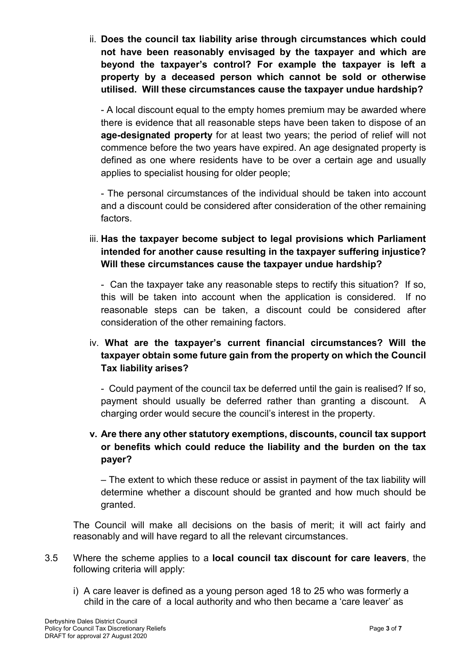ii. Does the council tax liability arise through circumstances which could not have been reasonably envisaged by the taxpayer and which are beyond the taxpayer's control? For example the taxpayer is left a property by a deceased person which cannot be sold or otherwise utilised. Will these circumstances cause the taxpayer undue hardship?

- A local discount equal to the empty homes premium may be awarded where there is evidence that all reasonable steps have been taken to dispose of an age-designated property for at least two years; the period of relief will not commence before the two years have expired. An age designated property is defined as one where residents have to be over a certain age and usually applies to specialist housing for older people;

- The personal circumstances of the individual should be taken into account and a discount could be considered after consideration of the other remaining factors.

iii. Has the taxpayer become subject to legal provisions which Parliament intended for another cause resulting in the taxpayer suffering injustice? Will these circumstances cause the taxpayer undue hardship?

- Can the taxpayer take any reasonable steps to rectify this situation? If so, this will be taken into account when the application is considered. If no reasonable steps can be taken, a discount could be considered after consideration of the other remaining factors.

#### iv. What are the taxpayer's current financial circumstances? Will the taxpayer obtain some future gain from the property on which the Council Tax liability arises?

- Could payment of the council tax be deferred until the gain is realised? If so, payment should usually be deferred rather than granting a discount. A charging order would secure the council's interest in the property.

### v. Are there any other statutory exemptions, discounts, council tax support or benefits which could reduce the liability and the burden on the tax payer?

– The extent to which these reduce or assist in payment of the tax liability will determine whether a discount should be granted and how much should be granted.

The Council will make all decisions on the basis of merit; it will act fairly and reasonably and will have regard to all the relevant circumstances.

- 3.5 Where the scheme applies to a local council tax discount for care leavers, the following criteria will apply:
	- i) A care leaver is defined as a young person aged 18 to 25 who was formerly a child in the care of a local authority and who then became a 'care leaver' as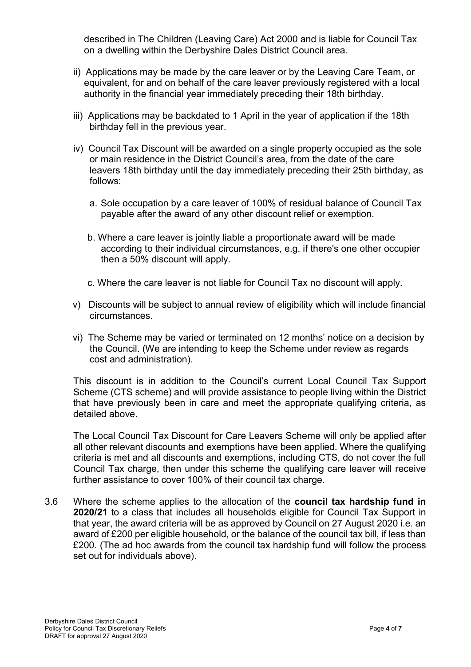described in The Children (Leaving Care) Act 2000 and is liable for Council Tax on a dwelling within the Derbyshire Dales District Council area.

- ii) Applications may be made by the care leaver or by the Leaving Care Team, or equivalent, for and on behalf of the care leaver previously registered with a local authority in the financial year immediately preceding their 18th birthday.
- iii) Applications may be backdated to 1 April in the year of application if the 18th birthday fell in the previous year.
- iv) Council Tax Discount will be awarded on a single property occupied as the sole or main residence in the District Council's area, from the date of the care leavers 18th birthday until the day immediately preceding their 25th birthday, as follows:
	- a. Sole occupation by a care leaver of 100% of residual balance of Council Tax payable after the award of any other discount relief or exemption.
	- b. Where a care leaver is jointly liable a proportionate award will be made according to their individual circumstances, e.g. if there's one other occupier then a 50% discount will apply.
	- c. Where the care leaver is not liable for Council Tax no discount will apply.
- v) Discounts will be subject to annual review of eligibility which will include financial circumstances.
- vi) The Scheme may be varied or terminated on 12 months' notice on a decision by the Council. (We are intending to keep the Scheme under review as regards cost and administration).

 This discount is in addition to the Council's current Local Council Tax Support Scheme (CTS scheme) and will provide assistance to people living within the District that have previously been in care and meet the appropriate qualifying criteria, as detailed above.

The Local Council Tax Discount for Care Leavers Scheme will only be applied after all other relevant discounts and exemptions have been applied. Where the qualifying criteria is met and all discounts and exemptions, including CTS, do not cover the full Council Tax charge, then under this scheme the qualifying care leaver will receive further assistance to cover 100% of their council tax charge.

3.6 Where the scheme applies to the allocation of the council tax hardship fund in 2020/21 to a class that includes all households eligible for Council Tax Support in that year, the award criteria will be as approved by Council on 27 August 2020 i.e. an award of £200 per eligible household, or the balance of the council tax bill, if less than £200. (The ad hoc awards from the council tax hardship fund will follow the process set out for individuals above).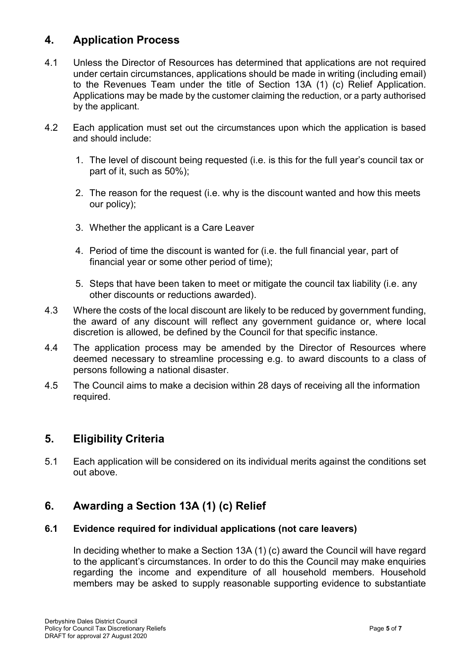# 4. Application Process

- 4.1 Unless the Director of Resources has determined that applications are not required under certain circumstances, applications should be made in writing (including email) to the Revenues Team under the title of Section 13A (1) (c) Relief Application. Applications may be made by the customer claiming the reduction, or a party authorised by the applicant.
- 4.2 Each application must set out the circumstances upon which the application is based and should include:
	- 1. The level of discount being requested (i.e. is this for the full year's council tax or part of it, such as 50%);
	- 2. The reason for the request (i.e. why is the discount wanted and how this meets our policy);
	- 3. Whether the applicant is a Care Leaver
	- 4. Period of time the discount is wanted for (i.e. the full financial year, part of financial year or some other period of time);
	- 5. Steps that have been taken to meet or mitigate the council tax liability (i.e. any other discounts or reductions awarded).
- 4.3 Where the costs of the local discount are likely to be reduced by government funding, the award of any discount will reflect any government guidance or, where local discretion is allowed, be defined by the Council for that specific instance.
- 4.4 The application process may be amended by the Director of Resources where deemed necessary to streamline processing e.g. to award discounts to a class of persons following a national disaster.
- 4.5 The Council aims to make a decision within 28 days of receiving all the information required.

### 5. Eligibility Criteria

5.1 Each application will be considered on its individual merits against the conditions set out above.

### 6. Awarding a Section 13A (1) (c) Relief

#### 6.1 Evidence required for individual applications (not care leavers)

In deciding whether to make a Section 13A (1) (c) award the Council will have regard to the applicant's circumstances. In order to do this the Council may make enquiries regarding the income and expenditure of all household members. Household members may be asked to supply reasonable supporting evidence to substantiate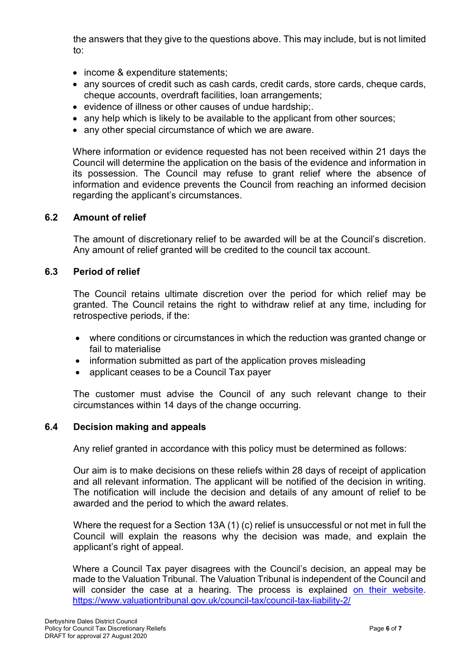the answers that they give to the questions above. This may include, but is not limited to:

- income & expenditure statements;
- any sources of credit such as cash cards, credit cards, store cards, cheque cards, cheque accounts, overdraft facilities, loan arrangements;
- evidence of illness or other causes of undue hardship;
- any help which is likely to be available to the applicant from other sources;
- any other special circumstance of which we are aware.

Where information or evidence requested has not been received within 21 days the Council will determine the application on the basis of the evidence and information in its possession. The Council may refuse to grant relief where the absence of information and evidence prevents the Council from reaching an informed decision regarding the applicant's circumstances.

#### 6.2 Amount of relief

The amount of discretionary relief to be awarded will be at the Council's discretion. Any amount of relief granted will be credited to the council tax account.

#### 6.3 Period of relief

The Council retains ultimate discretion over the period for which relief may be granted. The Council retains the right to withdraw relief at any time, including for retrospective periods, if the:

- where conditions or circumstances in which the reduction was granted change or fail to materialise
- information submitted as part of the application proves misleading
- applicant ceases to be a Council Tax payer

The customer must advise the Council of any such relevant change to their circumstances within 14 days of the change occurring.

#### 6.4 Decision making and appeals

Any relief granted in accordance with this policy must be determined as follows:

Our aim is to make decisions on these reliefs within 28 days of receipt of application and all relevant information. The applicant will be notified of the decision in writing. The notification will include the decision and details of any amount of relief to be awarded and the period to which the award relates.

Where the request for a Section 13A (1) (c) relief is unsuccessful or not met in full the Council will explain the reasons why the decision was made, and explain the applicant's right of appeal.

Where a Council Tax payer disagrees with the Council's decision, an appeal may be made to the Valuation Tribunal. The Valuation Tribunal is independent of the Council and will consider the case at a hearing. The process is explained on their website. https://www.valuationtribunal.gov.uk/council-tax/council-tax-liability-2/